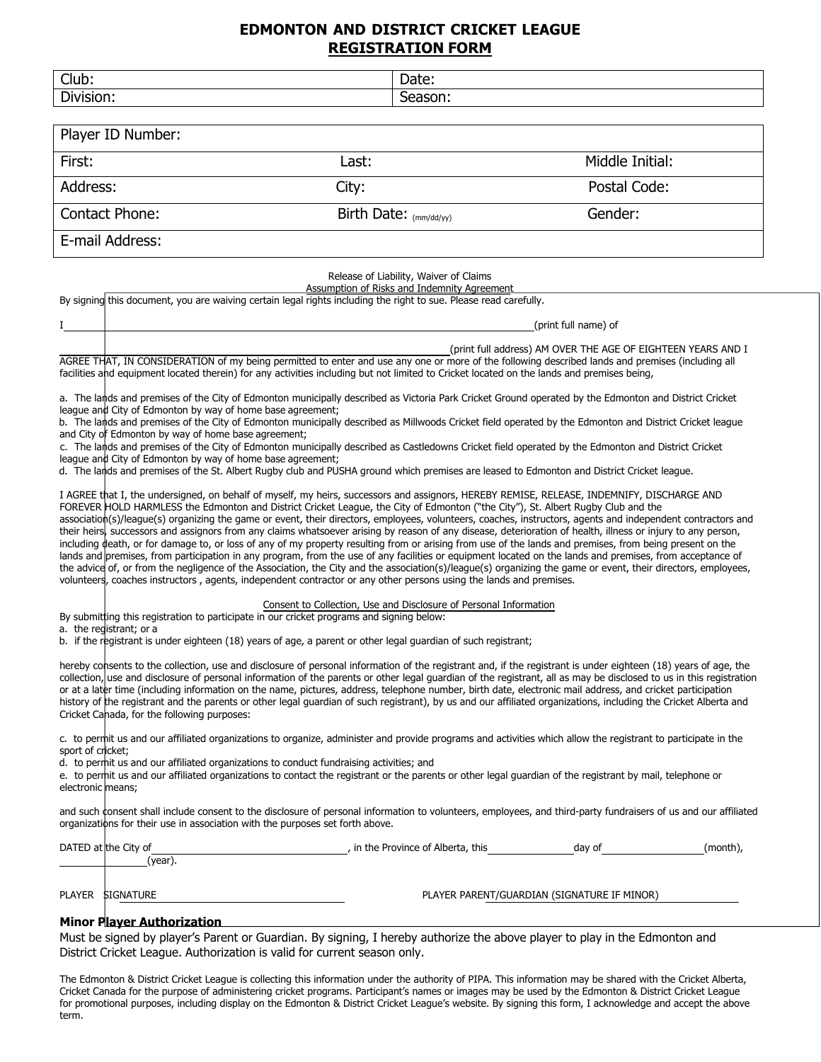## **EDMONTON AND DISTRICT CRICKET LEAGUE REGISTRATION FORM**

| Club:<br>Division:                                                                                                                                                              | Season:                                                                                                                                                                                                                                                                                                                                                                                                                                                                                                                                                                                                              | Date:                |  |  |
|---------------------------------------------------------------------------------------------------------------------------------------------------------------------------------|----------------------------------------------------------------------------------------------------------------------------------------------------------------------------------------------------------------------------------------------------------------------------------------------------------------------------------------------------------------------------------------------------------------------------------------------------------------------------------------------------------------------------------------------------------------------------------------------------------------------|----------------------|--|--|
|                                                                                                                                                                                 |                                                                                                                                                                                                                                                                                                                                                                                                                                                                                                                                                                                                                      |                      |  |  |
| Player ID Number:                                                                                                                                                               |                                                                                                                                                                                                                                                                                                                                                                                                                                                                                                                                                                                                                      |                      |  |  |
| First:                                                                                                                                                                          | Last:                                                                                                                                                                                                                                                                                                                                                                                                                                                                                                                                                                                                                | Middle Initial:      |  |  |
| Address:                                                                                                                                                                        | City:                                                                                                                                                                                                                                                                                                                                                                                                                                                                                                                                                                                                                | Postal Code:         |  |  |
| Contact Phone:                                                                                                                                                                  | Birth Date: $(mm/dd/yy)$                                                                                                                                                                                                                                                                                                                                                                                                                                                                                                                                                                                             | Gender:              |  |  |
| E-mail Address:                                                                                                                                                                 |                                                                                                                                                                                                                                                                                                                                                                                                                                                                                                                                                                                                                      |                      |  |  |
|                                                                                                                                                                                 | Release of Liability, Waiver of Claims<br>Assumption of Risks and Indemnity Agreement<br>By signing this document, you are waiving certain legal rights including the right to sue. Please read carefully.                                                                                                                                                                                                                                                                                                                                                                                                           | (print full name) of |  |  |
|                                                                                                                                                                                 | (print full address) AM OVER THE AGE OF EIGHTEEN YEARS AND I<br>AGREE THAT, IN CONSIDERATION of my being permitted to enter and use any one or more of the following described lands and premises (including all<br>facilities and equipment located therein) for any activities including but not limited to Cricket located on the lands and premises being,                                                                                                                                                                                                                                                       |                      |  |  |
| league and City of Edmonton by way of home base agreement;<br>and City of Edmonton by way of home base agreement;<br>league and City of Edmonton by way of home base agreement; | a. The lands and premises of the City of Edmonton municipally described as Victoria Park Cricket Ground operated by the Edmonton and District Cricket<br>b. The lands and premises of the City of Edmonton municipally described as Millwoods Cricket field operated by the Edmonton and District Cricket league<br>c. The lands and premises of the City of Edmonton municipally described as Castledowns Cricket field operated by the Edmonton and District Cricket<br>d. The lands and premises of the St. Albert Rugby club and PUSHA ground which premises are leased to Edmonton and District Cricket league. |                      |  |  |
|                                                                                                                                                                                 | I AGREE that I, the undersigned, on behalf of myself, my heirs, successors and assignors, HEREBY REMISE, RELEASE, INDEMNIFY, DISCHARGE AND<br>FOREVER HOLD HARMLESS the Edmonton and District Cricket League, the City of Edmonton ("the City"), St. Albert Rugby Club and the<br>association(s)/league(s) organizing the game or event, their directors, employees, volunteers, coaches, instructors, agents and independent contractors and<br>their heirs successors and assignors from any claims whatsoever arising by reason of any disease deterioration of health illness or injury to any nerson            |                      |  |  |

their heirs, successors and assignors from any claims whatsoever arising by reason of any disease, deterioration of health, illness or injury to any person, including death, or for damage to, or loss of any of my property resulting from or arising from use of the lands and premises, from being present on the lands and premises, from participation in any program, from the use of any facilities or equipment located on the lands and premises, from acceptance of the advice of, or from the negligence of the Association, the City and the association(s)/league(s) organizing the game or event, their directors, employees, volunteers, coaches instructors, agents, independent contractor or any other persons using the lands and premises.

#### Consent to Collection, Use and Disclosure of Personal Information

#### By submitting this registration to participate in our cricket programs and signing below:

a. the registrant; or a

b. if the registrant is under eighteen (18) years of age, a parent or other legal guardian of such registrant;

hereby consents to the collection, use and disclosure of personal information of the registrant and, if the registrant is under eighteen (18) years of age, the collection, use and disclosure of personal information of the parents or other legal guardian of the registrant, all as may be disclosed to us in this registration or at a later time (including information on the name, pictures, address, telephone number, birth date, electronic mail address, and cricket participation history of the registrant and the parents or other legal guardian of such registrant), by us and our affiliated organizations, including the Cricket Alberta and Cricket Canada, for the following purposes:

c. to permit us and our affiliated organizations to organize, administer and provide programs and activities which allow the registrant to participate in the sport of cricket;

d. to permit us and our affiliated organizations to conduct fundraising activities; and

e. to permit us and our affiliated organizations to contact the registrant or the parents or other legal guardian of the registrant by mail, telephone or electronic means;

and such consent shall include consent to the disclosure of personal information to volunteers, employees, and third-party fundraisers of us and our affiliated organizations for their use in association with the purposes set forth above.

|               | DATED at the City of | , in the Province of Alberta, this          | day of | (month), |
|---------------|----------------------|---------------------------------------------|--------|----------|
|               | (year).              |                                             |        |          |
|               |                      |                                             |        |          |
|               |                      |                                             |        |          |
| <b>PLAYER</b> | <b>SIGNATURE</b>     | PLAYER PARENT/GUARDIAN (SIGNATURE IF MINOR) |        |          |

### **Minor Player Authorization**

Must be signed by player's Parent or Guardian. By signing, I hereby authorize the above player to play in the Edmonton and District Cricket League. Authorization is valid for current season only.

The Edmonton & District Cricket League is collecting this information under the authority of PIPA. This information may be shared with the Cricket Alberta, Cricket Canada for the purpose of administering cricket programs. Participant's names or images may be used by the Edmonton & District Cricket League for promotional purposes, including display on the Edmonton & District Cricket League's website. By signing this form, I acknowledge and accept the above term.